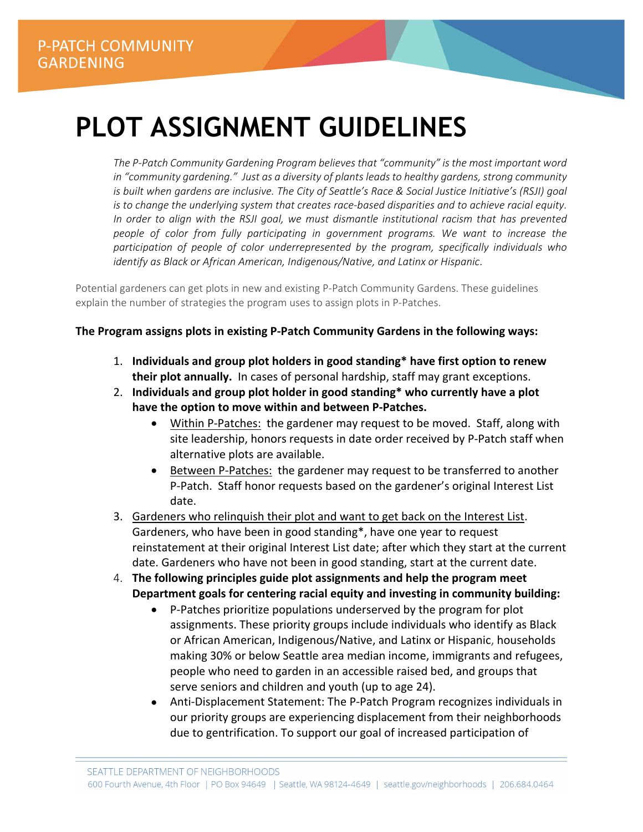# **PLOT ASSIGNMENT GUIDELINES**

*The P‐Patch Community Gardening Program believes that "community" is the most important word in "community gardening." Just as a diversity of plants leads to healthy gardens, strong community is built when gardens are inclusive. The City of Seattle's Race & Social Justice Initiative's (RSJI) goal is to change the underlying system that creates race‐based disparities and to achieve racial equity. In order to align with the RSJI goal, we must dismantle institutional racism that has prevented people of color from fully participating in government programs. We want to increase the participation of people of color underrepresented by the program, specifically individuals who identify as Black or African American, Indigenous/Native, and Latinx or Hispanic.* 

Potential gardeners can get plots in new and existing P‐Patch Community Gardens. These guidelines explain the number of strategies the program uses to assign plots in P‐Patches.

### **The Program assigns plots in existing P‐Patch Community Gardens in the following ways:**

- 1. **Individuals and group plot holders in good standing\* have first option to renew their plot annually.** In cases of personal hardship, staff may grant exceptions.
- 2. **Individuals and group plot holder in good standing\* who currently have a plot have the option to move within and between P‐Patches.** 
	- Within P-Patches: the gardener may request to be moved. Staff, along with site leadership, honors requests in date order received by P‐Patch staff when alternative plots are available.
	- Between P‐Patches: the gardener may request to be transferred to another P‐Patch. Staff honor requests based on the gardener's original Interest List date.
- 3. Gardeners who relinquish their plot and want to get back on the Interest List. Gardeners, who have been in good standing\*, have one year to request reinstatement at their original Interest List date; after which they start at the current date. Gardeners who have not been in good standing, start at the current date.
- 4. **The following principles guide plot assignments and help the program meet Department goals for centering racial equity and investing in community building:** 
	- P‐Patches prioritize populations underserved by the program for plot assignments. These priority groups include individuals who identify as Black or African American, Indigenous/Native, and Latinx or Hispanic, households making 30% or below Seattle area median income, immigrants and refugees, people who need to garden in an accessible raised bed, and groups that serve seniors and children and youth (up to age 24).
	- Anti-Displacement Statement: The P-Patch Program recognizes individuals in our priority groups are experiencing displacement from their neighborhoods due to gentrification. To support our goal of increased participation of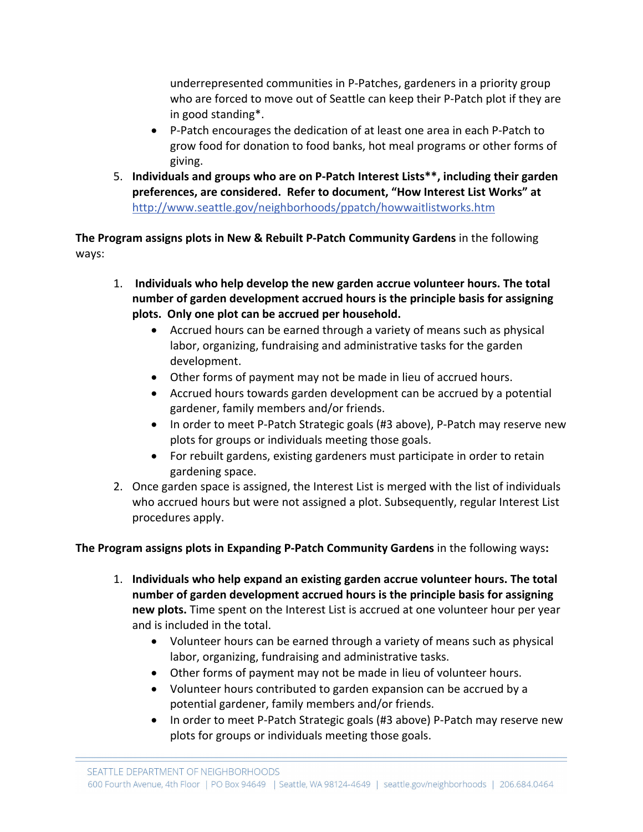underrepresented communities in P‐Patches, gardeners in a priority group who are forced to move out of Seattle can keep their P‐Patch plot if they are in good standing\*.

- P-Patch encourages the dedication of at least one area in each P-Patch to grow food for donation to food banks, hot meal programs or other forms of giving.
- 5. **Individuals and groups who are on P‐Patch Interest Lists\*\*, including their garden preferences, are considered. Refer to document, "How Interest List Works" at**  http://www.seattle.gov/neighborhoods/ppatch/howwaitlistworks.htm

**The Program assigns plots in New & Rebuilt P‐Patch Community Gardens** in the following ways:

- 1.  **Individuals who help develop the new garden accrue volunteer hours. The total number of garden development accrued hours is the principle basis for assigning plots. Only one plot can be accrued per household.** 
	- Accrued hours can be earned through a variety of means such as physical labor, organizing, fundraising and administrative tasks for the garden development.
	- Other forms of payment may not be made in lieu of accrued hours.
	- Accrued hours towards garden development can be accrued by a potential gardener, family members and/or friends.
	- In order to meet P-Patch Strategic goals (#3 above), P-Patch may reserve new plots for groups or individuals meeting those goals.
	- For rebuilt gardens, existing gardeners must participate in order to retain gardening space.
- 2. Once garden space is assigned, the Interest List is merged with the list of individuals who accrued hours but were not assigned a plot. Subsequently, regular Interest List procedures apply.

## **The Program assigns plots in Expanding P‐Patch Community Gardens** in the following ways**:**

- 1. **Individuals who help expand an existing garden accrue volunteer hours. The total number of garden development accrued hours is the principle basis for assigning new plots.** Time spent on the Interest List is accrued at one volunteer hour per year and is included in the total.
	- Volunteer hours can be earned through a variety of means such as physical labor, organizing, fundraising and administrative tasks.
	- Other forms of payment may not be made in lieu of volunteer hours.
	- Volunteer hours contributed to garden expansion can be accrued by a potential gardener, family members and/or friends.
	- In order to meet P-Patch Strategic goals (#3 above) P-Patch may reserve new plots for groups or individuals meeting those goals.